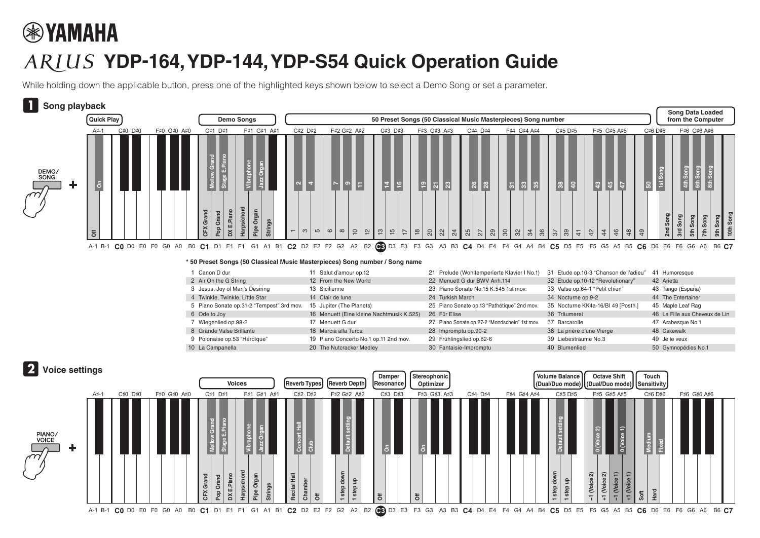## **® YAMAHA**

## **YDP-164, YDP-144, YDP-S54 Quick Operation Guide**

While holding down the applicable button, press one of the highlighted keys shown below to select a Demo Song or set a parameter.



## **\* 50 Preset Songs (50 Classical Music Masterpieces) Song number / Song name**

| Canon D dur                               | 11 Salut d'amour op.12                    | 21 Prelude (Wohltemperierte Klavier I No.1)   | 31 Etude op.10-3 "Chanson de l'adieu" | Humoresque<br>41               |
|-------------------------------------------|-------------------------------------------|-----------------------------------------------|---------------------------------------|--------------------------------|
| 2 Air On the G String                     | 12 From the New World                     | 22 Menuett G dur BWV Anh.114                  | 32 Etude op.10-12 "Revolutionary"     | 42 Arietta                     |
| 3 Jesus, Joy of Man's Desiring            | 13 Sicilienne                             | 23 Piano Sonate No.15 K.545 1st mov.          | 33 Valse op.64-1 "Petit chien"        | 43 Tango (España)              |
| 4 Twinkle, Twinkle, Little Star           | 14 Clair de lune                          | 24 Turkish March                              | 34 Nocturne op.9-2                    | 44 The Entertainer             |
| 5 Piano Sonate op.31-2 "Tempest" 3rd mov. | 15 Jupiter (The Planets)                  | 25 Piano Sonate op.13 "Pathétique" 2nd mov.   | 35 Nocturne KK4a-16/BI 49 [Posth.]    | 45 Maple Leaf Rag              |
| 6 Ode to Joy                              | 16 Menuett (Eine kleine Nachtmusik K.525) | 26 Für Elise                                  | 36 Träumerei                          | 46 La Fille aux Cheveux de Lin |
| Wiegenlied op.98-2                        | 17 Menuett G dur                          | 27 Piano Sonate op.27-2 "Mondschein" 1st mov. | 37 Barcarolle                         | 47 Arabesque No.1              |
| 8 Grande Valse Brillante                  | 18 Marcia alla Turca                      | 28 Impromptu op.90-2                          | 38 La prière d'une Vierge             | 48 Cakewalk                    |
| 9 Polonaise op.53 "Héroïque"              | 19 Piano Concerto No.1 op.11 2nd mov.     | 29 Frühlingslied op.62-6                      | 39 Liebesträume No.3                  | 49 Je te veux                  |
| 10 La Campanella                          | 20 The Nutcracker Medley                  | 30 Fantaisie-Impromptu                        | 40 Blumenlied                         | 50 Gymnopédies No.1            |